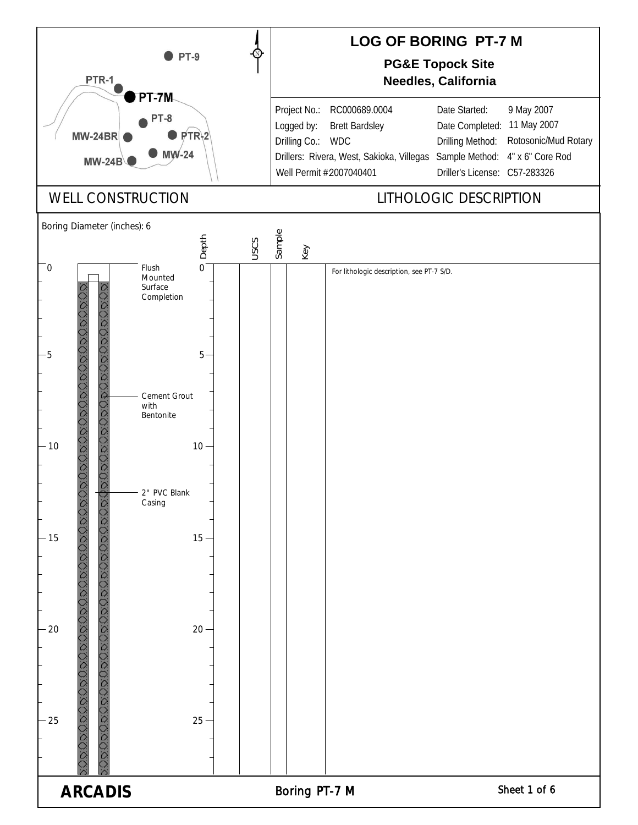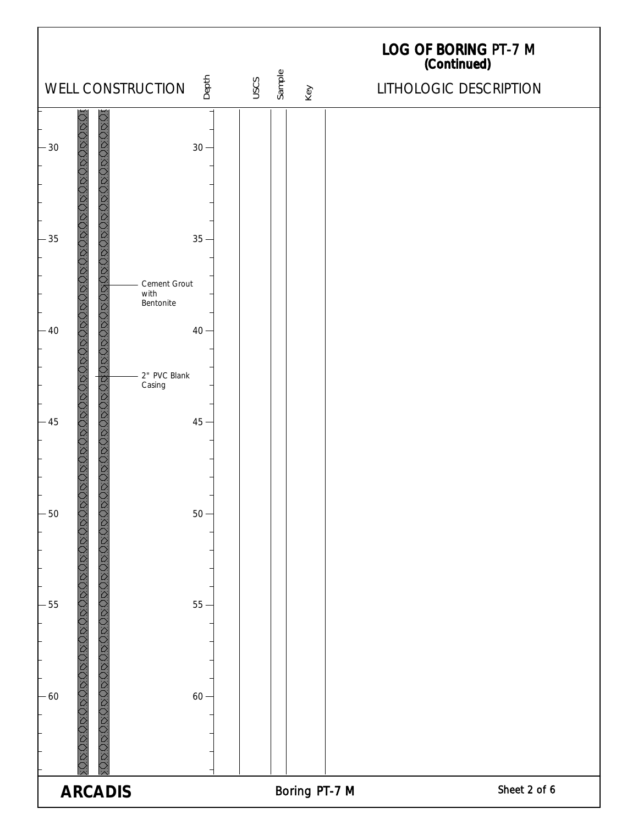| Depth<br>WELL CONSTRUCTION                                                          | USCS | Sample        | LOG OF BORING PT-7 M<br>(Continued)<br>LITHOLOGIC DESCRIPTION |
|-------------------------------------------------------------------------------------|------|---------------|---------------------------------------------------------------|
|                                                                                     |      | Key           |                                                               |
| ROROGROBORO E<br>JOODOODOODOODOODOO<br>$30 -$<br>$-30$                              |      |               |                                                               |
| $-35$<br>$35 -$<br>$\overline{c}$<br><b>Digital</b><br>Cement Grout<br>with         |      |               |                                                               |
| DURCONDER<br>Bentonite<br>$-40$<br>$40 -$<br>$\hat{D}$<br>$\hat{D}$<br>2" PVC Blank |      |               |                                                               |
| XODODOODOODOODOOD<br><b>DODDODDODD</b><br>Casing<br>$45 -$<br>$-45$                 |      |               |                                                               |
| VOUDL<br>$-50$<br>$50 -$                                                            |      |               |                                                               |
| JDUDDDDDDDDDJ<br>$-55$<br>$55-$                                                     |      |               |                                                               |
| 050505050505050505050505050505050<br>JRUR<br><b>OCCCCC</b><br>$-60$<br>$60 -$       |      |               |                                                               |
| <b>ARCADIS</b>                                                                      |      | Boring PT-7 M | Sheet 2 of 6                                                  |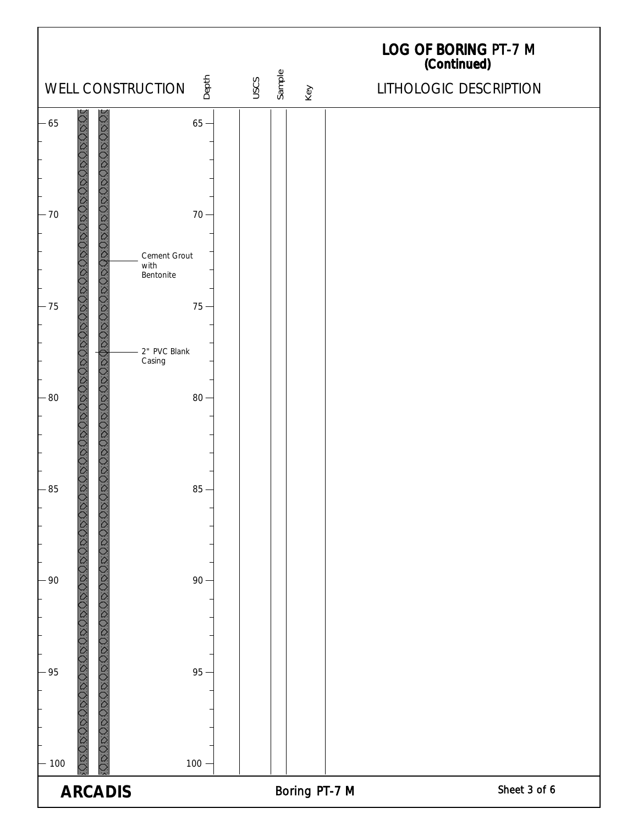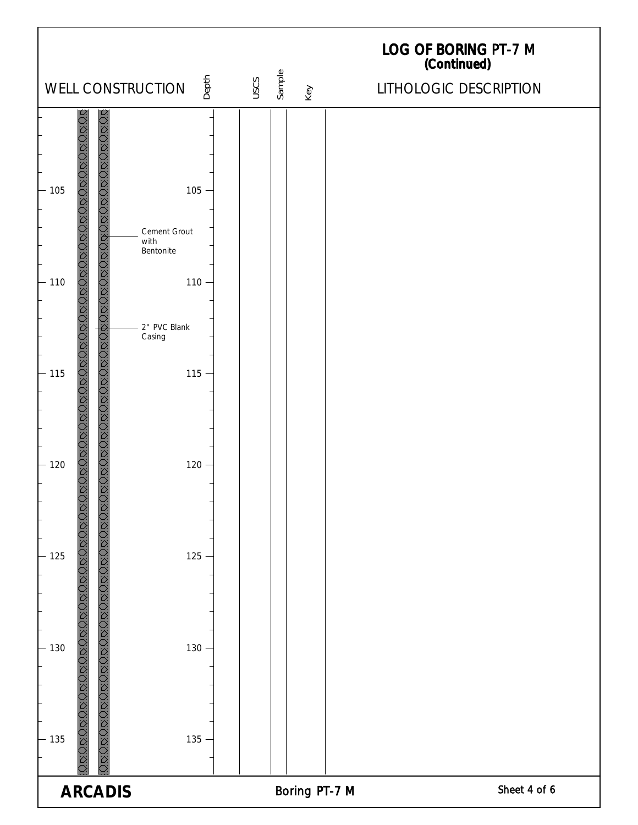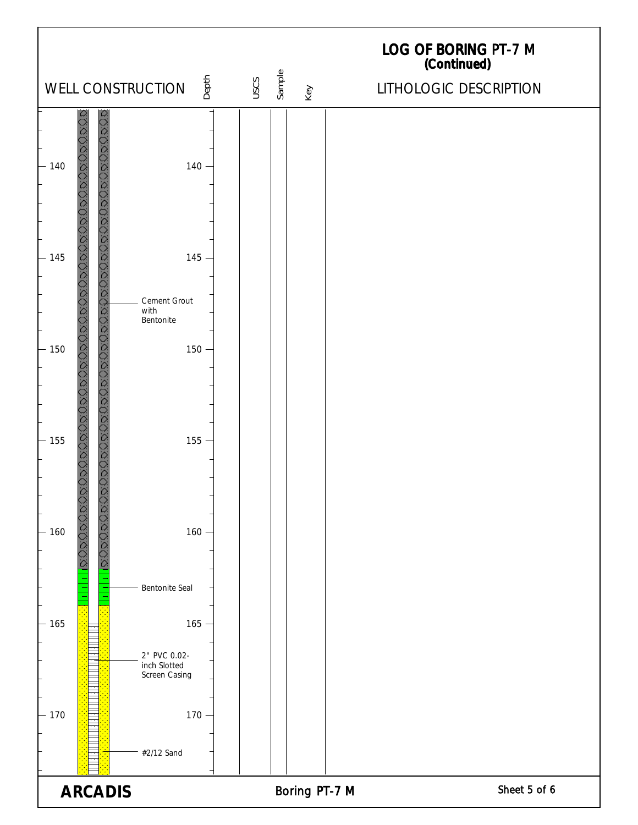